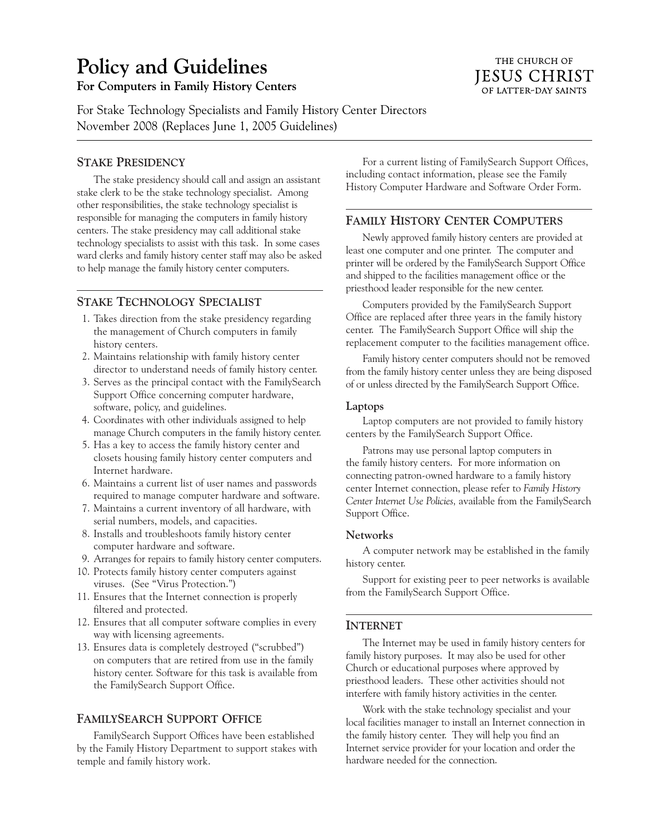# **Policy and Guidelines**

# **For Computers in Family History Centers**

For Stake Technology Specialists and Family History Center Directors November 2008 (Replaces June 1, 2005 Guidelines)

## **STAKE PRESIDENCY**

The stake presidency should call and assign an assistant stake clerk to be the stake technology specialist. Among other responsibilities, the stake technology specialist is responsible for managing the computers in family history centers. The stake presidency may call additional stake technology specialists to assist with this task. In some cases ward clerks and family history center staff may also be asked to help manage the family history center computers.

## **STAKE TECHNOLOGY SPECIALIST**

- 1. Takes direction from the stake presidency regarding the management of Church computers in family history centers.
- 2. Maintains relationship with family history center director to understand needs of family history center.
- 3. Serves as the principal contact with the FamilySearch Support Office concerning computer hardware, software, policy, and guidelines.
- 4. Coordinates with other individuals assigned to help manage Church computers in the family history center.
- 5. Has a key to access the family history center and closets housing family history center computers and Internet hardware.
- 6. Maintains a current list of user names and passwords required to manage computer hardware and software.
- 7. Maintains a current inventory of all hardware, with serial numbers, models, and capacities.
- 8. Installs and troubleshoots family history center computer hardware and software.
- 9. Arranges for repairs to family history center computers.
- 10. Protects family history center computers against viruses. (See "Virus Protection.")
- 11. Ensures that the Internet connection is properly filtered and protected.
- 12. Ensures that all computer software complies in every way with licensing agreements.
- 13. Ensures data is completely destroyed ("scrubbed") on computers that are retired from use in the family history center. Software for this task is available from the FamilySearch Support Office.

## **FAMILYSEARCH SUPPORT OFFICE**

FamilySearch Support Offices have been established by the Family History Department to support stakes with temple and family history work.

For a current listing of FamilySearch Support Offices, including contact information, please see the Family History Computer Hardware and Software Order Form.

## **FAMILY HISTORY CENTER COMPUTERS**

Newly approved family history centers are provided at least one computer and one printer. The computer and printer will be ordered by the FamilySearch Support Office and shipped to the facilities management office or the priesthood leader responsible for the new center.

Computers provided by the FamilySearch Support Office are replaced after three years in the family history center. The FamilySearch Support Office will ship the replacement computer to the facilities management office.

Family history center computers should not be removed from the family history center unless they are being disposed of or unless directed by the FamilySearch Support Office.

#### **Laptops**

Laptop computers are not provided to family history centers by the FamilySearch Support Office.

Patrons may use personal laptop computers in the family history centers. For more information on connecting patron-owned hardware to a family history center Internet connection, please refer to *Family History Center Internet Use Policies,* available from the FamilySearch Support Office.

#### **Networks**

A computer network may be established in the family history center.

Support for existing peer to peer networks is available from the FamilySearch Support Office.

#### **INTERNET**

The Internet may be used in family history centers for family history purposes. It may also be used for other Church or educational purposes where approved by priesthood leaders. These other activities should not interfere with family history activities in the center.

Work with the stake technology specialist and your local facilities manager to install an Internet connection in the family history center. They will help you find an Internet service provider for your location and order the hardware needed for the connection.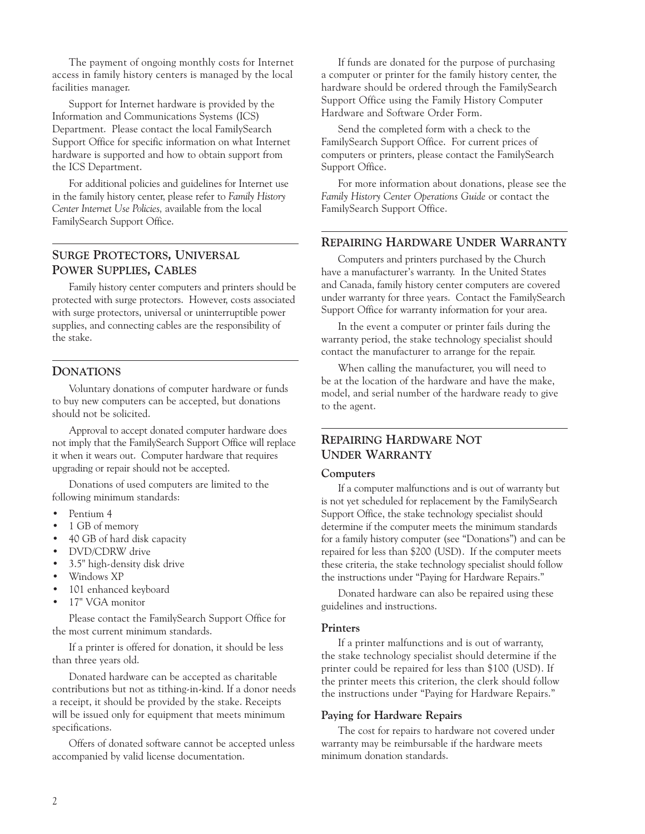The payment of ongoing monthly costs for Internet access in family history centers is managed by the local facilities manager.

Support for Internet hardware is provided by the Information and Communications Systems (ICS) Department. Please contact the local FamilySearch Support Office for specific information on what Internet hardware is supported and how to obtain support from the ICS Department.

For additional policies and guidelines for Internet use in the family history center, please refer to *Family History Center Internet Use Policies,* available from the local FamilySearch Support Office.

# **SURGE PROTECTORS, UNIVERSAL POWER SUPPLIES, CABLES**

Family history center computers and printers should be protected with surge protectors. However, costs associated with surge protectors, universal or uninterruptible power supplies, and connecting cables are the responsibility of the stake.

## **DONATIONS**

Voluntary donations of computer hardware or funds to buy new computers can be accepted, but donations should not be solicited.

Approval to accept donated computer hardware does not imply that the FamilySearch Support Office will replace it when it wears out. Computer hardware that requires upgrading or repair should not be accepted.

Donations of used computers are limited to the following minimum standards:

- Pentium 4
- 1 GB of memory
- 40 GB of hard disk capacity
- DVD/CDRW drive
- 3.5" high-density disk drive
- Windows XP
- 101 enhanced keyboard
- 17" VGA monitor

Please contact the FamilySearch Support Office for the most current minimum standards.

If a printer is offered for donation, it should be less than three years old.

Donated hardware can be accepted as charitable contributions but not as tithing-in-kind. If a donor needs a receipt, it should be provided by the stake. Receipts will be issued only for equipment that meets minimum specifications.

Offers of donated software cannot be accepted unless accompanied by valid license documentation.

If funds are donated for the purpose of purchasing a computer or printer for the family history center, the hardware should be ordered through the FamilySearch Support Office using the Family History Computer Hardware and Software Order Form.

Send the completed form with a check to the FamilySearch Support Office. For current prices of computers or printers, please contact the FamilySearch Support Office.

For more information about donations, please see the *Family History Center Operations Guide* or contact the FamilySearch Support Office.

## **REPAIRING HARDWARE UNDER WARRANTY**

Computers and printers purchased by the Church have a manufacturer's warranty. In the United States and Canada, family history center computers are covered under warranty for three years. Contact the FamilySearch Support Office for warranty information for your area.

In the event a computer or printer fails during the warranty period, the stake technology specialist should contact the manufacturer to arrange for the repair.

When calling the manufacturer, you will need to be at the location of the hardware and have the make, model, and serial number of the hardware ready to give to the agent.

# **REPAIRING HARDWARE NOT UNDER WARRANTY**

#### **Computers**

If a computer malfunctions and is out of warranty but is not yet scheduled for replacement by the FamilySearch Support Office, the stake technology specialist should determine if the computer meets the minimum standards for a family history computer (see "Donations") and can be repaired for less than \$200 (USD). If the computer meets these criteria, the stake technology specialist should follow the instructions under "Paying for Hardware Repairs."

Donated hardware can also be repaired using these guidelines and instructions.

#### **Printers**

If a printer malfunctions and is out of warranty, the stake technology specialist should determine if the printer could be repaired for less than \$100 (USD). If the printer meets this criterion, the clerk should follow the instructions under "Paying for Hardware Repairs."

## **Paying for Hardware Repairs**

The cost for repairs to hardware not covered under warranty may be reimbursable if the hardware meets minimum donation standards.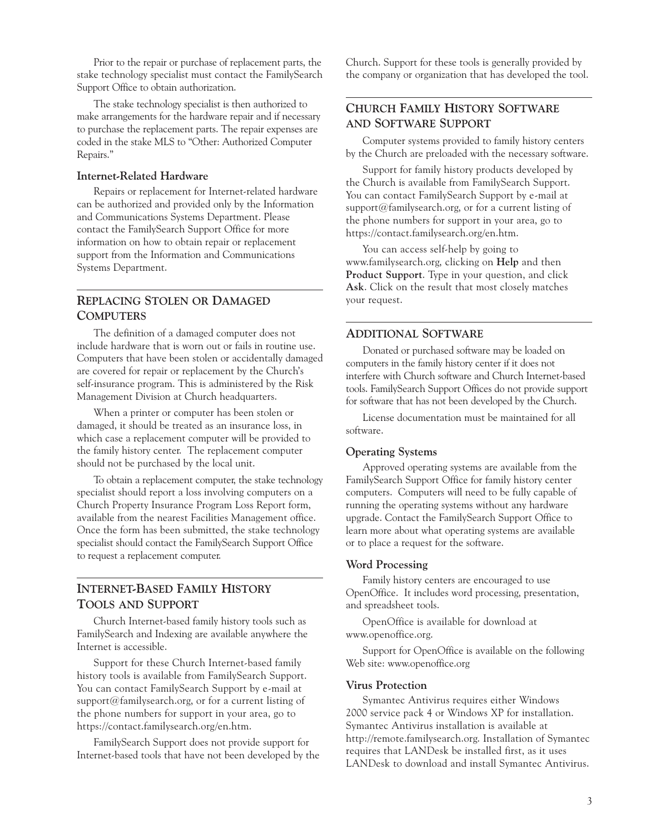Prior to the repair or purchase of replacement parts, the stake technology specialist must contact the FamilySearch Support Office to obtain authorization.

The stake technology specialist is then authorized to make arrangements for the hardware repair and if necessary to purchase the replacement parts. The repair expenses are coded in the stake MLS to "Other: Authorized Computer Repairs."

## **Internet-Related Hardware**

Repairs or replacement for Internet-related hardware can be authorized and provided only by the Information and Communications Systems Department. Please contact the FamilySearch Support Office for more information on how to obtain repair or replacement support from the Information and Communications Systems Department.

# **REPLACING STOLEN OR DAMAGED COMPUTERS**

The definition of a damaged computer does not include hardware that is worn out or fails in routine use. Computers that have been stolen or accidentally damaged are covered for repair or replacement by the Church's self-insurance program. This is administered by the Risk Management Division at Church headquarters.

When a printer or computer has been stolen or damaged, it should be treated as an insurance loss, in which case a replacement computer will be provided to the family history center. The replacement computer should not be purchased by the local unit.

To obtain a replacement computer, the stake technology specialist should report a loss involving computers on a Church Property Insurance Program Loss Report form, available from the nearest Facilities Management office. Once the form has been submitted, the stake technology specialist should contact the FamilySearch Support Office to request a replacement computer.

# **INTERNET-BASED FAMILY HISTORY TOOLS AND SUPPORT**

Church Internet-based family history tools such as FamilySearch and Indexing are available anywhere the Internet is accessible.

Support for these Church Internet-based family history tools is available from FamilySearch Support. You can contact FamilySearch Support by e-mail at support@familysearch.org, or for a current listing of the phone numbers for support in your area, go to https://contact.familysearch.org/en.htm.

FamilySearch Support does not provide support for Internet-based tools that have not been developed by the Church. Support for these tools is generally provided by the company or organization that has developed the tool.

## **CHURCH FAMILY HISTORY SOFTWARE AND SOFTWARE SUPPORT**

Computer systems provided to family history centers by the Church are preloaded with the necessary software.

Support for family history products developed by the Church is available from FamilySearch Support. You can contact FamilySearch Support by e-mail at support@familysearch.org, or for a current listing of the phone numbers for support in your area, go to https://contact.familysearch.org/en.htm.

You can access self-help by going to www.familysearch.org, clicking on **Help** and then **Product Support**. Type in your question, and click **Ask**. Click on the result that most closely matches your request.

## **ADDITIONAL SOFTWARE**

Donated or purchased software may be loaded on computers in the family history center if it does not interfere with Church software and Church Internet-based tools. FamilySearch Support Offices do not provide support for software that has not been developed by the Church.

License documentation must be maintained for all software.

#### **Operating Systems**

Approved operating systems are available from the FamilySearch Support Office for family history center computers. Computers will need to be fully capable of running the operating systems without any hardware upgrade. Contact the FamilySearch Support Office to learn more about what operating systems are available or to place a request for the software.

#### **Word Processing**

Family history centers are encouraged to use OpenOffice. It includes word processing, presentation, and spreadsheet tools.

OpenOffice is available for download at www.openoffice.org.

Support for OpenOffice is available on the following Web site: www.openoffice.org

#### **Virus Protection**

Symantec Antivirus requires either Windows 2000 service pack 4 or Windows XP for installation. Symantec Antivirus installation is available at http://remote.familysearch.org. Installation of Symantec requires that LANDesk be installed first, as it uses LANDesk to download and install Symantec Antivirus.